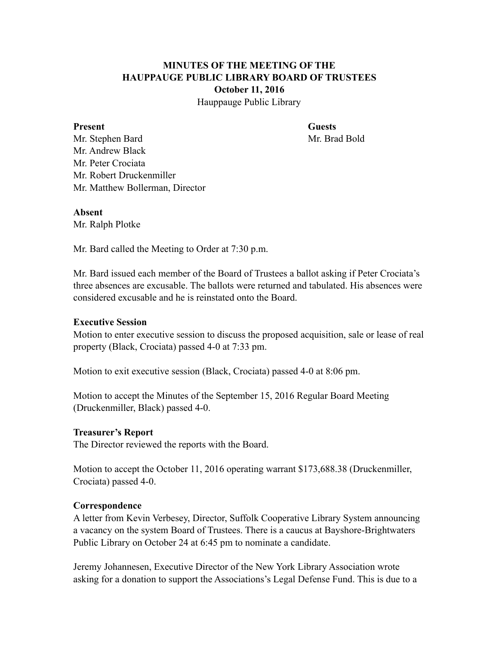# **MINUTES OF THE MEETING OF THE HAUPPAUGE PUBLIC LIBRARY BOARD OF TRUSTEES October 11, 2016**

Hauppauge Public Library

#### **Present Guests**

Mr. Stephen Bard Mr. Brad Bold Mr. Andrew Black Mr. Peter Crociata Mr. Robert Druckenmiller Mr. Matthew Bollerman, Director

# **Absent**

Mr. Ralph Plotke

Mr. Bard called the Meeting to Order at 7:30 p.m.

Mr. Bard issued each member of the Board of Trustees a ballot asking if Peter Crociata's three absences are excusable. The ballots were returned and tabulated. His absences were considered excusable and he is reinstated onto the Board.

# **Executive Session**

Motion to enter executive session to discuss the proposed acquisition, sale or lease of real property (Black, Crociata) passed 4-0 at 7:33 pm.

Motion to exit executive session (Black, Crociata) passed 4-0 at 8:06 pm.

Motion to accept the Minutes of the September 15, 2016 Regular Board Meeting (Druckenmiller, Black) passed 4-0.

# **Treasurer's Report**

The Director reviewed the reports with the Board.

Motion to accept the October 11, 2016 operating warrant \$173,688.38 (Druckenmiller, Crociata) passed 4-0.

# **Correspondence**

A letter from Kevin Verbesey, Director, Suffolk Cooperative Library System announcing a vacancy on the system Board of Trustees. There is a caucus at Bayshore-Brightwaters Public Library on October 24 at 6:45 pm to nominate a candidate.

Jeremy Johannesen, Executive Director of the New York Library Association wrote asking for a donation to support the Associations's Legal Defense Fund. This is due to a